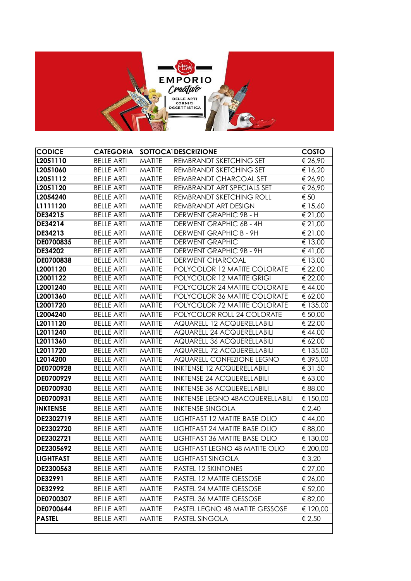

| <b>CODICE</b>    |                   |               | <b>CATEGORIA SOTTOCATDESCRIZIONE</b>   | COSTO                    |
|------------------|-------------------|---------------|----------------------------------------|--------------------------|
| L2051110         | <b>BELLE ARTI</b> | <b>MATITE</b> | REMBRANDT SKETCHING SET                | € 26,90                  |
| L2051060         | <b>BELLE ARTI</b> | <b>MATITE</b> | REMBRANDT SKETCHING SET                | € 16,20                  |
| L2051112         | <b>BELLE ARTI</b> | <b>MATITE</b> | REMBRANDT CHARCOAL SET                 | € 26,90                  |
| L2051120         | <b>BELLE ARTI</b> | <b>MATITE</b> | REMBRANDT ART SPECIALS SET             | € $26,90$                |
| L2054240         | <b>BELLE ARTI</b> | <b>MATITE</b> | REMBRANDT SKETCHING ROLL               | $\overline{\epsilon}$ 50 |
| L1111120         | <b>BELLE ARTI</b> | <b>MATITE</b> | REMBRANDT ART DESIGN                   | € 15,60                  |
| DE34215          | <b>BELLE ARTI</b> | <b>MATITE</b> | DERWENT GRAPHIC 9B - H                 | € 21,00                  |
| DE34214          | <b>BELLE ARTI</b> | <b>MATITE</b> | DERWENT GRAPHIC 6B - 4H                | € 21,00                  |
| DE34213          | <b>BELLE ARTI</b> | <b>MATITE</b> | DERWENT GRAPHIC B - 9H                 | € 21,00                  |
| DE0700835        | <b>BELLE ARTI</b> | <b>MATITE</b> | <b>DERWENT GRAPHIC</b>                 | € 13,00                  |
| DE34202          | <b>BELLE ARTI</b> | <b>MATITE</b> | DERWENT GRAPHIC 9B - 9H                | € 41,00                  |
| DE0700838        | <b>BELLE ARTI</b> | <b>MATITE</b> | DERWENT CHARCOAL                       | € 13,00                  |
| L2001120         | <b>BELLE ARTI</b> | <b>MATITE</b> | POLYCOLOR 12 MATITE COLORATE           | € 22,00                  |
| L2001122         | <b>BELLE ARTI</b> | <b>MATITE</b> | POLYCOLOR 12 MATITE GRIGI              | € 22,00                  |
| L2001240         | <b>BELLE ARTI</b> | <b>MATITE</b> | POLYCOLOR 24 MATITE COLORATE           | € 44,00                  |
| L2001360         | <b>BELLE ARTI</b> | <b>MATITE</b> | POLYCOLOR 36 MATITE COLORATE           | € 62,00                  |
| L2001720         | <b>BELLE ARTI</b> | <b>MATITE</b> | POLYCOLOR 72 MATITE COLORATE           | € 135,00                 |
| L2004240         | <b>BELLE ARTI</b> | <b>MATITE</b> | POLYCOLOR ROLL 24 COLORATE             | € 50,00                  |
| L2011120         | <b>BELLE ARTI</b> | <b>MATITE</b> | AQUARELL 12 ACQUERELLABILI             | € 22,00                  |
| L2011240         | <b>BELLE ARTI</b> | <b>MATITE</b> | AQUARELL 24 ACQUERELLABILI             | € 44,00                  |
| L2011360         | <b>BELLE ARTI</b> | <b>MATITE</b> | AQUARELL 36 ACQUERELLABILI             | € 62,00                  |
| L2011720         | <b>BELLE ARTI</b> | <b>MATITE</b> | AQUARELL 72 ACQUERELLABILI             | € 135,00                 |
| L2014200         | <b>BELLE ARTI</b> | <b>MATITE</b> | AQUARELL CONFEZIONE LEGNO              | € 395,00                 |
| DE0700928        | <b>BELLE ARTI</b> | <b>MATITE</b> | <b>INKTENSE 12 ACQUERELLABILI</b>      | € 31,50                  |
| DE0700929        | <b>BELLE ARTI</b> | <b>MATITE</b> | <b>INKTENSE 24 ACQUERELLABILI</b>      | € 63,00                  |
| DE0700930        | <b>BELLE ARTI</b> | <b>MATITE</b> | <b>INKTENSE 36 ACQUERELLABILI</b>      | € 88,00                  |
| DE0700931        | <b>BELLE ARTI</b> | <b>MATITE</b> | <b>INKTENSE LEGNO 48ACQUERELLABILI</b> | € 150,00                 |
| <b>INKTENSE</b>  | <b>BELLE ARTI</b> | <b>MATITE</b> | <b>INKTENSE SINGOLA</b>                | € 2,40                   |
| DE2302719        | <b>BELLE ARTI</b> | <b>MATITE</b> | LIGHTFAST 12 MATITE BASE OLIO          | € 44,00                  |
| DE2302720        | <b>BELLE ARTI</b> | <b>MATITE</b> | LIGHTFAST 24 MATITE BASE OLIO          | € 88,00                  |
| DE2302721        | <b>BELLE ARTI</b> | <b>MATITE</b> | LIGHTFAST 36 MATITE BASE OLIO          | € 130,00                 |
| DE2305692        | <b>BELLE ARTI</b> | <b>MATITE</b> | LIGHTFAST LEGNO 48 MATITE OLIO         | € 200,00                 |
| <b>LIGHTFAST</b> | <b>BELLE ARTI</b> | <b>MATITE</b> | <b>LIGHTFAST SINGOLA</b>               | € 3,20                   |
| DE2300563        | <b>BELLE ARTI</b> | <b>MATITE</b> | PASTEL 12 SKINTONES                    | € 27,00                  |
| DE32991          | <b>BELLE ARTI</b> | <b>MATITE</b> | PASTEL 12 MATITE GESSOSE               | € 26,00                  |
| DE32992          | <b>BELLE ARTI</b> | <b>MATITE</b> | PASTEL 24 MATITE GESSOSE               | € 52,00                  |
| DE0700307        | <b>BELLE ARTI</b> | <b>MATITE</b> | PASTEL 36 MATITE GESSOSE               | € 82,00                  |
|                  |                   |               |                                        |                          |
| DE0700644        | <b>BELLE ARTI</b> | <b>MATITE</b> | PASTEL LEGNO 48 MATITE GESSOSE         | € 120,00                 |
| <b>PASTEL</b>    | <b>BELLE ARTI</b> | <b>MATITE</b> | PASTEL SINGOLA                         | € 2,50                   |
|                  |                   |               |                                        |                          |